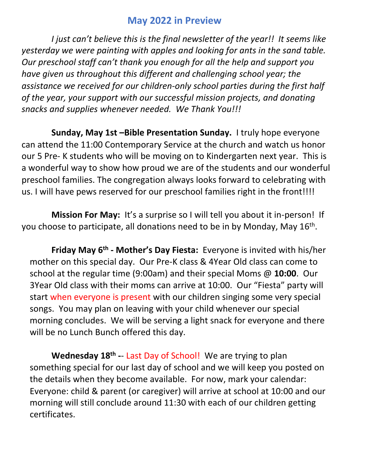## **May 2022 in Preview**

*I just can't believe this is the final newsletter of the year!! It seems like yesterday we were painting with apples and looking for ants in the sand table. Our preschool staff can't thank you enough for all the help and support you have given us throughout this different and challenging school year; the assistance we received for our children-only school parties during the first half of the year, your support with our successful mission projects, and donating snacks and supplies whenever needed. We Thank You!!!*

**Sunday, May 1st –Bible Presentation Sunday.** I truly hope everyone can attend the 11:00 Contemporary Service at the church and watch us honor our 5 Pre- K students who will be moving on to Kindergarten next year. This is a wonderful way to show how proud we are of the students and our wonderful preschool families. The congregation always looks forward to celebrating with us. I will have pews reserved for our preschool families right in the front!!!!

**Mission For May:** It's a surprise so I will tell you about it in-person! If you choose to participate, all donations need to be in by Monday, May 16<sup>th</sup>.

**Friday May 6<sup>th</sup> - Mother's Day Fiesta:** Everyone is invited with his/her mother on this special day. Our Pre-K class & 4Year Old class can come to school at the regular time (9:00am) and their special Moms @ **10:00**. Our 3Year Old class with their moms can arrive at 10:00. Our "Fiesta" party will start when everyone is present with our children singing some very special songs. You may plan on leaving with your child whenever our special morning concludes. We will be serving a light snack for everyone and there will be no Lunch Bunch offered this day.

Wednesday 18<sup>th</sup> -- Last Day of School! We are trying to plan something special for our last day of school and we will keep you posted on the details when they become available. For now, mark your calendar: Everyone: child & parent (or caregiver) will arrive at school at 10:00 and our morning will still conclude around 11:30 with each of our children getting certificates.